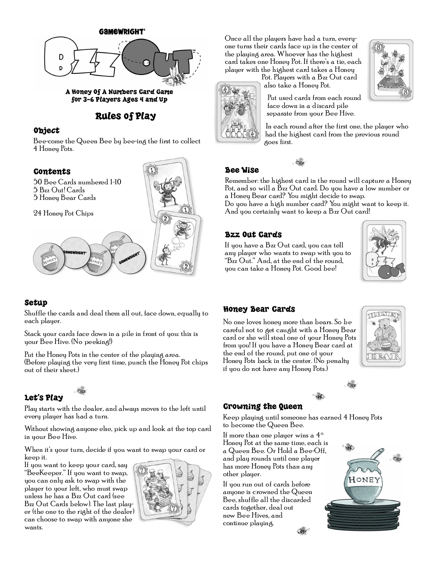

for 3-6 Players Ages 4 and Up

# Rules of Play

#### Object

Bee-come the Queen Bee by bee-ing the first to collect 4 Honey Pots.



### Setup

Shuffle the cards and deal them all out, face down, equally to each player.

Stack your cards face down in a pile in front of you: this is your Bee Hive. (No peeking!)

Put the Honey Pots in the center of the playing area. (Before playing the very first time, punch the Honey Pot chips out of their sheet.)

## Let's Play

Play starts with the dealer, and always moves to the left until every player has had a turn.

Without showing anyone else, pick up and look at the top card in your Bee Hive.

When it's your turn, decide if you want to swap your card or keep it.

If you want to keep your card, say "BeeKeeper." If you want to swap, you can only ask to swap with the player to your left, who must swap unless he has a Bzz Out card (see Bzz Out Cards below). The last player (the one to the right of the dealer) can choose to swap with anyone she wants.



Once all the players have had a turn, everyone turns their cards face up in the center of the playing area. Whoever has the highest card takes one Honey Pot. If there's a tie, each player with the highest card takes a Honey

> Pot. Players with a Bzz Out card also take a Honey Pot.



Put used cards from each round face down in a discard pile separate from your Bee Hive.

In each round after the first one, the player who had the highest card from the previous round goes first.

## Bee Wise

Remember: the highest card in the round will capture a Honey Pot, and so will a Bzz Out card. Do you have a low number or a Honey Bear card? You might decide to swap.

Do you have a high number card? You might want to keep it. And you certainly want to keep a Bzz Out card!

## Bzz Out Cards

If you have a Bzz Out card, you can tell any player who wants to swap with you to "Bzz Out." And, at the end of the round, you can take a Honey Pot. Good bee!



#### Honey Bear Cards

No one loves honey more than bears. So be careful not to get caught with a Honey Bear card or she will steal one of your Honey Pots from you! If you have a Honey Bear card at the end of the round, put one of your Honey Pots back in the center. (No penalty if you do not have any Honey Pots.)





#### Crowning the Queen

Keep playing until someone has earned 4 Honey Pots to become the Queen Bee.

If more than one player wins a  $4<sup>th</sup>$ Honey Pot at the same time, each is a Queen Bee. Or Hold a Bee-Off, and play rounds until one player has more Honey Pots than any other player.

If you run out of cards before anyone is crowned the Queen Bee, shuffle all the discarded cards together, deal out new Bee Hives, and continue playing.